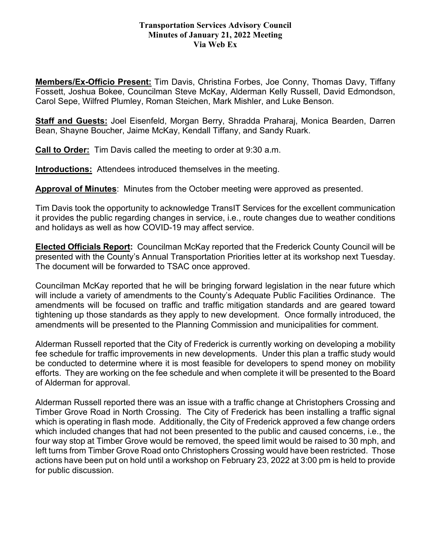## **Transportation Services Advisory Council Minutes of January 21, 2022 Meeting Via Web Ex**

**Members/Ex-Officio Present:** Tim Davis, Christina Forbes, Joe Conny, Thomas Davy, Tiffany Fossett, Joshua Bokee, Councilman Steve McKay, Alderman Kelly Russell, David Edmondson, Carol Sepe, Wilfred Plumley, Roman Steichen, Mark Mishler, and Luke Benson.

**Staff and Guests:** Joel Eisenfeld, Morgan Berry, Shradda Praharaj, Monica Bearden, Darren Bean, Shayne Boucher, Jaime McKay, Kendall Tiffany, and Sandy Ruark.

**Call to Order:** Tim Davis called the meeting to order at 9:30 a.m.

**Introductions:** Attendees introduced themselves in the meeting.

**Approval of Minutes**: Minutes from the October meeting were approved as presented.

Tim Davis took the opportunity to acknowledge TransIT Services for the excellent communication it provides the public regarding changes in service, i.e., route changes due to weather conditions and holidays as well as how COVID-19 may affect service.

**Elected Officials Report:** Councilman McKay reported that the Frederick County Council will be presented with the County's Annual Transportation Priorities letter at its workshop next Tuesday. The document will be forwarded to TSAC once approved.

Councilman McKay reported that he will be bringing forward legislation in the near future which will include a variety of amendments to the County's Adequate Public Facilities Ordinance. The amendments will be focused on traffic and traffic mitigation standards and are geared toward tightening up those standards as they apply to new development. Once formally introduced, the amendments will be presented to the Planning Commission and municipalities for comment.

Alderman Russell reported that the City of Frederick is currently working on developing a mobility fee schedule for traffic improvements in new developments. Under this plan a traffic study would be conducted to determine where it is most feasible for developers to spend money on mobility efforts. They are working on the fee schedule and when complete it will be presented to the Board of Alderman for approval.

Alderman Russell reported there was an issue with a traffic change at Christophers Crossing and Timber Grove Road in North Crossing. The City of Frederick has been installing a traffic signal which is operating in flash mode. Additionally, the City of Frederick approved a few change orders which included changes that had not been presented to the public and caused concerns, i.e., the four way stop at Timber Grove would be removed, the speed limit would be raised to 30 mph, and left turns from Timber Grove Road onto Christophers Crossing would have been restricted. Those actions have been put on hold until a workshop on February 23, 2022 at 3:00 pm is held to provide for public discussion.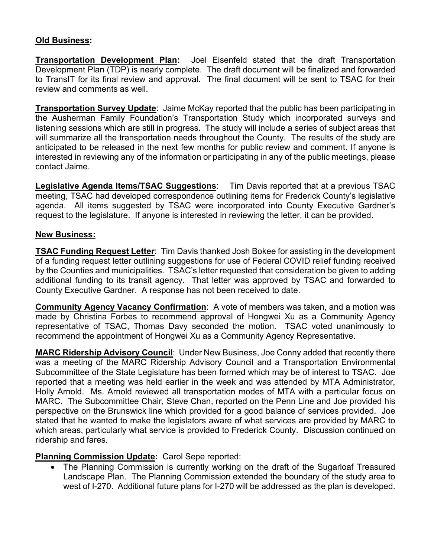## **Old Business:**

**Transportation Development Plan:** Joel Eisenfeld stated that the draft Transportation Development Plan (TDP) is nearly complete. The draft document will be finalized and forwarded to TransIT for its final review and approval. The final document will be sent to TSAC for their review and comments as well.

**Transportation Survey Update**: Jaime McKay reported that the public has been participating in the Ausherman Family Foundation's Transportation Study which incorporated surveys and listening sessions which are still in progress. The study will include a series of subject areas that will summarize all the transportation needs throughout the County. The results of the study are anticipated to be released in the next few months for public review and comment. If anyone is interested in reviewing any of the information or participating in any of the public meetings, please contact Jaime.

**Legislative Agenda Items/TSAC Suggestions**: Tim Davis reported that at a previous TSAC meeting, TSAC had developed correspondence outlining items for Frederick County's legislative agenda. All items suggested by TSAC were incorporated into County Executive Gardner's request to the legislature. If anyone is interested in reviewing the letter, it can be provided.

## **New Business:**

**TSAC Funding Request Letter**: Tim Davis thanked Josh Bokee for assisting in the development of a funding request letter outlining suggestions for use of Federal COVID relief funding received by the Counties and municipalities. TSAC's letter requested that consideration be given to adding additional funding to its transit agency. That letter was approved by TSAC and forwarded to County Executive Gardner. A response has not been received to date.

**Community Agency Vacancy Confirmation**: A vote of members was taken, and a motion was made by Christina Forbes to recommend approval of Hongwei Xu as a Community Agency representative of TSAC, Thomas Davy seconded the motion. TSAC voted unanimously to recommend the appointment of Hongwei Xu as a Community Agency Representative.

**MARC Ridership Advisory Council**: Under New Business, Joe Conny added that recently there was a meeting of the MARC Ridership Advisory Council and a Transportation Environmental Subcommittee of the State Legislature has been formed which may be of interest to TSAC. Joe reported that a meeting was held earlier in the week and was attended by MTA Administrator, Holly Arnold. Ms. Arnold reviewed all transportation modes of MTA with a particular focus on MARC. The Subcommittee Chair, Steve Chan, reported on the Penn Line and Joe provided his perspective on the Brunswick line which provided for a good balance of services provided. Joe stated that he wanted to make the legislators aware of what services are provided by MARC to which areas, particularly what service is provided to Frederick County. Discussion continued on ridership and fares.

**Planning Commission Update:** Carol Sepe reported:

• The Planning Commission is currently working on the draft of the Sugarloaf Treasured Landscape Plan. The Planning Commission extended the boundary of the study area to west of I-270. Additional future plans for I-270 will be addressed as the plan is developed.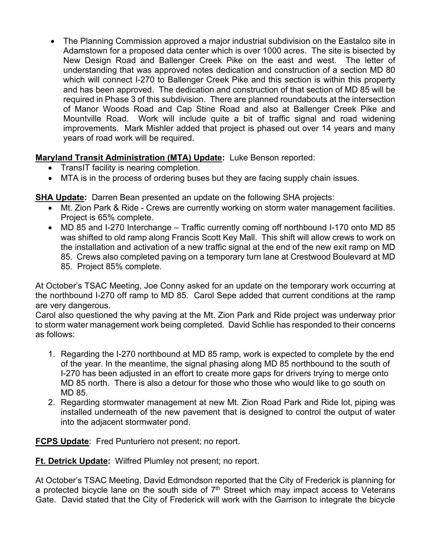• The Planning Commission approved a major industrial subdivision on the Eastalco site in Adamstown for a proposed data center which is over 1000 acres. The site is bisected by New Design Road and Ballenger Creek Pike on the east and west. The letter of understanding that was approved notes dedication and construction of a section MD 80 which will connect I-270 to Ballenger Creek Pike and this section is within this property and has been approved. The dedication and construction of that section of MD 85 will be required in Phase 3 of this subdivision. There are planned roundabouts at the intersection of Manor Woods Road and Cap Stine Road and also at Ballenger Creek Pike and Mountville Road. Work will include quite a bit of traffic signal and road widening improvements. Mark Mishler added that project is phased out over 14 years and many years of road work will be required.

**Maryland Transit Administration (MTA) Update:** Luke Benson reported:

- TransIT facility is nearing completion.
- MTA is in the process of ordering buses but they are facing supply chain issues.

**SHA Update:** Darren Bean presented an update on the following SHA projects:

- Mt. Zion Park & Ride Crews are currently working on storm water management facilities. Project is 65% complete.
- MD 85 and I-270 Interchange Traffic currently coming off northbound I-170 onto MD 85 was shifted to old ramp along Francis Scott Key Mall. This shift will allow crews to work on the installation and activation of a new traffic signal at the end of the new exit ramp on MD 85. Crews also completed paving on a temporary turn lane at Crestwood Boulevard at MD
	- 85. Project 85% complete.

At October's TSAC Meeting, Joe Conny asked for an update on the temporary work occurring at the northbound I-270 off ramp to MD 85. Carol Sepe added that current conditions at the ramp are very dangerous.

Carol also questioned the why paving at the Mt. Zion Park and Ride project was underway prior to storm water management work being completed. David Schlie has responded to their concerns as follows:

- 1. Regarding the I-270 northbound at MD 85 ramp, work is expected to complete by the end of the year. In the meantime, the signal phasing along MD 85 northbound to the south of I-270 has been adjusted in an effort to create more gaps for drivers trying to merge onto MD 85 north. There is also a detour for those who those who would like to go south on MD 85.
- 2. Regarding stormwater management at new Mt. Zion Road Park and Ride lot, piping was installed underneath of the new pavement that is designed to control the output of water into the adjacent stormwater pond.

**FCPS Update**: Fred Punturiero not present; no report.

**Ft. Detrick Update:** Wilfred Plumley not present; no report.

At October's TSAC Meeting, David Edmondson reported that the City of Frederick is planning for a protected bicycle lane on the south side of  $7<sup>th</sup>$  Street which may impact access to Veterans Gate. David stated that the City of Frederick will work with the Garrison to integrate the bicycle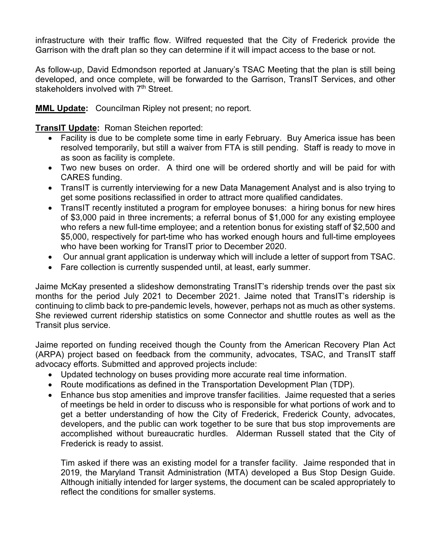infrastructure with their traffic flow. Wilfred requested that the City of Frederick provide the Garrison with the draft plan so they can determine if it will impact access to the base or not.

As follow-up, David Edmondson reported at January's TSAC Meeting that the plan is still being developed, and once complete, will be forwarded to the Garrison, TransIT Services, and other stakeholders involved with 7<sup>th</sup> Street.

**MML Update:** Councilman Ripley not present; no report.

**TransIT Update:** Roman Steichen reported:

- Facility is due to be complete some time in early February. Buy America issue has been resolved temporarily, but still a waiver from FTA is still pending. Staff is ready to move in as soon as facility is complete.
- Two new buses on order. A third one will be ordered shortly and will be paid for with CARES funding.
- TransIT is currently interviewing for a new Data Management Analyst and is also trying to get some positions reclassified in order to attract more qualified candidates.
- TransIT recently instituted a program for employee bonuses: a hiring bonus for new hires of \$3,000 paid in three increments; a referral bonus of \$1,000 for any existing employee who refers a new full-time employee; and a retention bonus for existing staff of \$2,500 and \$5,000, respectively for part-time who has worked enough hours and full-time employees who have been working for TransIT prior to December 2020.
- Our annual grant application is underway which will include a letter of support from TSAC.
- Fare collection is currently suspended until, at least, early summer.

Jaime McKay presented a slideshow demonstrating TransIT's ridership trends over the past six months for the period July 2021 to December 2021. Jaime noted that TransIT's ridership is continuing to climb back to pre-pandemic levels, however, perhaps not as much as other systems. She reviewed current ridership statistics on some Connector and shuttle routes as well as the Transit plus service.

Jaime reported on funding received though the County from the American Recovery Plan Act (ARPA) project based on feedback from the community, advocates, TSAC, and TransIT staff advocacy efforts. Submitted and approved projects include:

- Updated technology on buses providing more accurate real time information.
- Route modifications as defined in the Transportation Development Plan (TDP).
- Enhance bus stop amenities and improve transfer facilities. Jaime requested that a series of meetings be held in order to discuss who is responsible for what portions of work and to get a better understanding of how the City of Frederick, Frederick County, advocates, developers, and the public can work together to be sure that bus stop improvements are accomplished without bureaucratic hurdles. Alderman Russell stated that the City of Frederick is ready to assist.

Tim asked if there was an existing model for a transfer facility. Jaime responded that in 2019, the Maryland Transit Administration (MTA) developed a Bus Stop Design Guide. Although initially intended for larger systems, the document can be scaled appropriately to reflect the conditions for smaller systems.